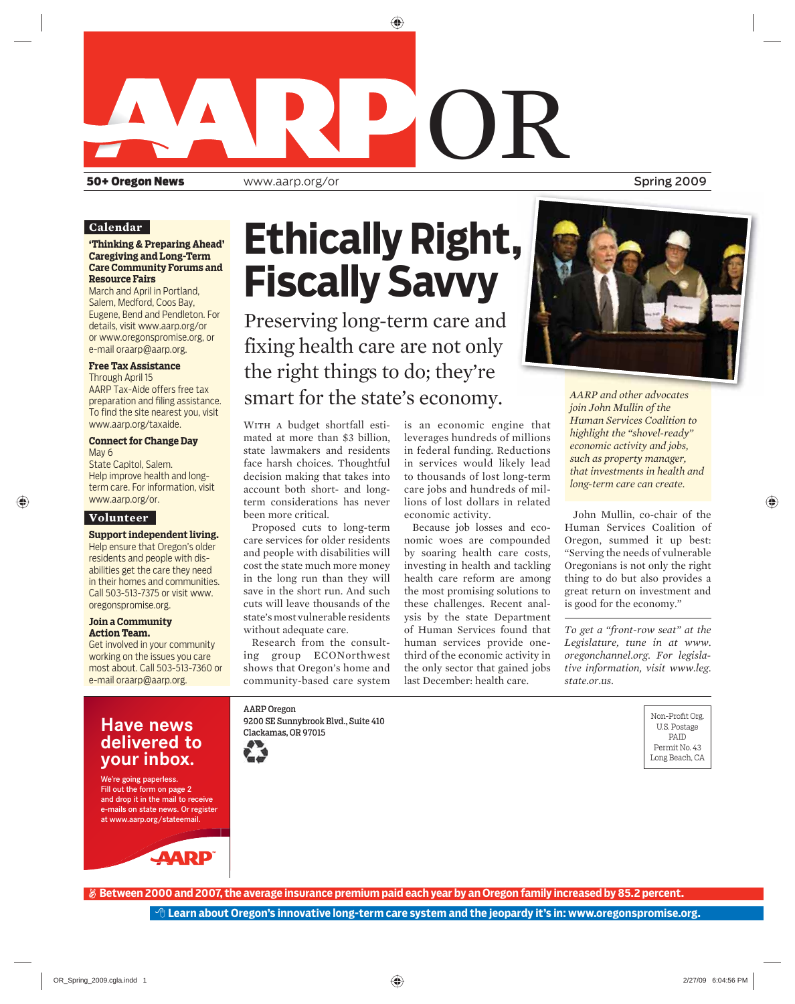

#### **Calendar**

#### **'Thinking & Preparing Ahead' Caregiving and Long-Term Care Community Forums and Resource Fairs**

March and April in Portland, Salem, Medford, Coos Bay, Eugene, Bend and Pendleton. For details, visit www.aarp.org/or or www.oregonspromise.org, or e-mail oraarp@aarp.org.

#### **Free Tax Assistance**

Through April 15 AARP Tax-Aide offers free tax preparation and filing assistance. To find the site nearest you, visit www.aarp.org/taxaide.

#### **Connect for Change Day**  May 6

State Capitol, Salem. Help improve health and longterm care. For information, visit www.aarp.org/or.

#### **Volunteer**

**Support independent living.**  Help ensure that Oregon's older residents and people with disabilities get the care they need in their homes and communities. Call 503-513-7375 or visit www. oregonspromise.org.

#### **Join a Community Action Team.**

Get involved in your community working on the issues you care most about. Call 503-513-7360 or e-mail oraarp@aarp.org.

# **Ethically Right, Fiscally Savvy**

Preserving long-term care and fixing health care are not only the right things to do; they're smart for the state's economy.

WITH A budget shortfall estimated at more than \$3 billion, state lawmakers and residents face harsh choices. Thoughtful decision making that takes into account both short- and longterm considerations has never been more critical.

Proposed cuts to long-term care services for older residents and people with disabilities will cost the state much more money in the long run than they will save in the short run. And such cuts will leave thousands of the state's most vulnerable residents without adequate care.

Research from the consulting group ECONorthwest shows that Oregon's home and community-based care system

is an economic engine that leverages hundreds of millions in federal funding. Reductions in services would likely lead to thousands of lost long-term care jobs and hundreds of millions of lost dollars in related economic activity.

Because job losses and economic woes are compounded by soaring health care costs, investing in health and tackling health care reform are among the most promising solutions to these challenges. Recent analysis by the state Department of Human Services found that human services provide onethird of the economic activity in the only sector that gained jobs last December: health care.



*AARP and other advocates and advocates join John Mullin of the Human Services Coalition to highlight the "shovel-ready" economic activity and jobs, such as property manager, that investments in health and long-term care can create.*

John Mullin, co-chair of the Human Services Coalition of Oregon, summed it up best: "Serving the needs of vulnerable Oregonians is not only the right thing to do but also provides a great return on investment and is good for the economy."

*To get a "front-row seat" at the Legislature, tune in at www. oregonchannel.org. For legislative information, visit www.leg. state.or.us.* 

**Have news delivered to your inbox.**

We're going paperless. Just field the We Fill out the form on page 2 and drop it in the mail to receive e-mails on state news. Or register at www.aarp.org/stateemail.



AARP Oregon 9200 SE Sunnybrook Blvd., Suite 410 Clackamas, OR 97015





Non-Profit Org. U.S. Postage PAID Permit No. 43 Long Beach, CA

 **Between 2000 and 2007, the average insurance premium paid each year by an Oregon family increased by 85.2 percent.**

 **Learn about Oregon's innovative long-term care system and the jeopardy it's in: www.oregonspromise.org.**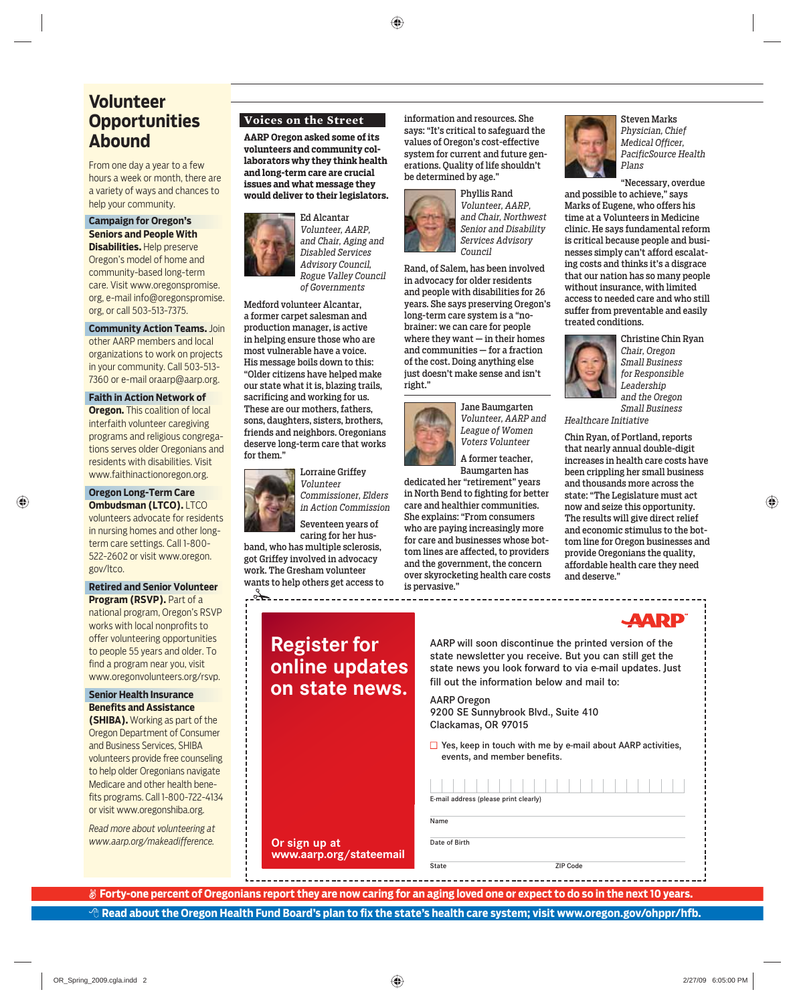## **Volunteer Opportunities Abound**

From one day a year to a few hours a week or month, there are a variety of ways and chances to help your community.

#### **Campaign for Oregon's Seniors and People With**

**Disabilities.** Help preserve Oregon's model of home and community-based long-term care. Visit www.oregonspromise. org, e-mail info@oregonspromise. org, or call 503-513-7375.

**Community Action Teams.** Join other AARP members and local organizations to work on projects in your community. Call 503-513- 7360 or e-mail oraarp@aarp.org.

#### **Faith in Action Network of**

**Oregon.** This coalition of local interfaith volunteer caregiving programs and religious congregations serves older Oregonians and residents with disabilities. Visit www.faithinactionoregon.org.

#### **Oregon Long-Term Care Ombudsman (LTCO). LTCO**

volunteers advocate for residents in nursing homes and other longterm care settings. Call 1-800- 522-2602 or visit www.oregon. gov/ltco.

#### **Retired and Senior Volunteer Program (RSVP).** Part of a

national program, Oregon's RSVP works with local nonprofits to offer volunteering opportunities to people 55 years and older. To find a program near you, visit www.oregonvolunteers.org/rsvp.

#### **Senior Health Insurance Benefits and Assistance**

**(SHIBA).** Working as part of the Oregon Department of Consumer and Business Services, SHIBA volunteers provide free counseling to help older Oregonians navigate Medicare and other health benefits programs. Call 1-800-722-4134 or visit www.oregonshiba.org.

*Read more about volunteering at www.aarp.org/makeadifference.* 

#### **Voices on the Street**

**AARP Oregon asked some of its volunteers and community collaborators why they think health and long-term care are crucial issues and what message they would deliver to their legislators.**



Ed Alcantar *Volunteer, AARP, and Chair, Aging and Disabled Services Advisory Council, Rogue Valley Council of Governments* 

Medford volunteer Alcantar, a former carpet salesman and production manager, is active in helping ensure those who are most vulnerable have a voice. His message boils down to this: "Older citizens have helped make our state what it is, blazing trails, sacrificing and working for us. These are our mothers, fathers, sons, daughters, sisters, brothers, friends and neighbors. Oregonians deserve long-term care that works for them."



*in Action Commission* Seventeen years of caring for her hus-

band, who has multiple sclerosis, got Griffey involved in advocacy work. The Gresham volunteer wants to help others get access to

---------------------

**Register for online updates on state news.**

**Or sign up at** 

**www.aarp.org/stateemail**

information and resources. She says: "It's critical to safeguard the values of Oregon's cost-effective system for current and future generations. Quality of life shouldn't be determined by age."



Phyllis Rand *Volunteer, AARP, and Chair, Northwest Senior and Disability Services Advisory Council*

Rand, of Salem, has been involved in advocacy for older residents and people with disabilities for 26 years. She says preserving Oregon's long-term care system is a "nobrainer: we can care for people where they want — in their homes and communities — for a fraction of the cost. Doing anything else just doesn't make sense and isn't right."



Jane Baumgarten *Volunteer, AARP and League of Women Voters Volunteer* 

A former teacher, Baumgarten has

dedicated her "retirement" years in North Bend to fighting for better care and healthier communities. She explains: "From consumers who are paying increasingly more for care and businesses whose bottom lines are affected, to providers and the government, the concern over skyrocketing health care costs is pervasive."



Steven Marks *Physician, Chief Medical Officer, PacificSource Health Plans*

"Necessary, overdue and possible to achieve," says Marks of Eugene, who offers his time at a Volunteers in Medicine clinic. He says fundamental reform is critical because people and businesses simply can't afford escalating costs and thinks it's a disgrace that our nation has so many people without insurance, with limited access to needed care and who still suffer from preventable and easily treated conditions.



Christine Chin Ryan *Chair, Oregon Small Business for Responsible Leadership and the Oregon Small Business* 

*Healthcare Initiative*

Chin Ryan, of Portland, reports that nearly annual double-digit increases in health care costs have been crippling her small business and thousands more across the state: "The Legislature must act now and seize this opportunity. The results will give direct relief and economic stimulus to the bottom line for Oregon businesses and provide Oregonians the quality, affordable health care they need and deserve."



AARP will soon discontinue the printed version of the state newsletter you receive. But you can still get the state news you look forward to via e-mail updates. Just fill out the information below and mail to:

AARP Oregon 9200 SE Sunnybrook Blvd., Suite 410 Clackamas, OR 97015

 $\Box$  Yes, keep in touch with me by e-mail about AARP activities, events, and member benefits.

| E-mail address (please print clearly) |          |  |  |  |
|---------------------------------------|----------|--|--|--|
|                                       |          |  |  |  |
| Name                                  |          |  |  |  |
| Date of Birth                         |          |  |  |  |
|                                       |          |  |  |  |
|                                       |          |  |  |  |
| State                                 | ZIP Code |  |  |  |

 $\cdot$ ी Read about the Oregon Health Fund Board's plan to fix the state's health care system; visit www.oregon.gov/ohppr/hfb.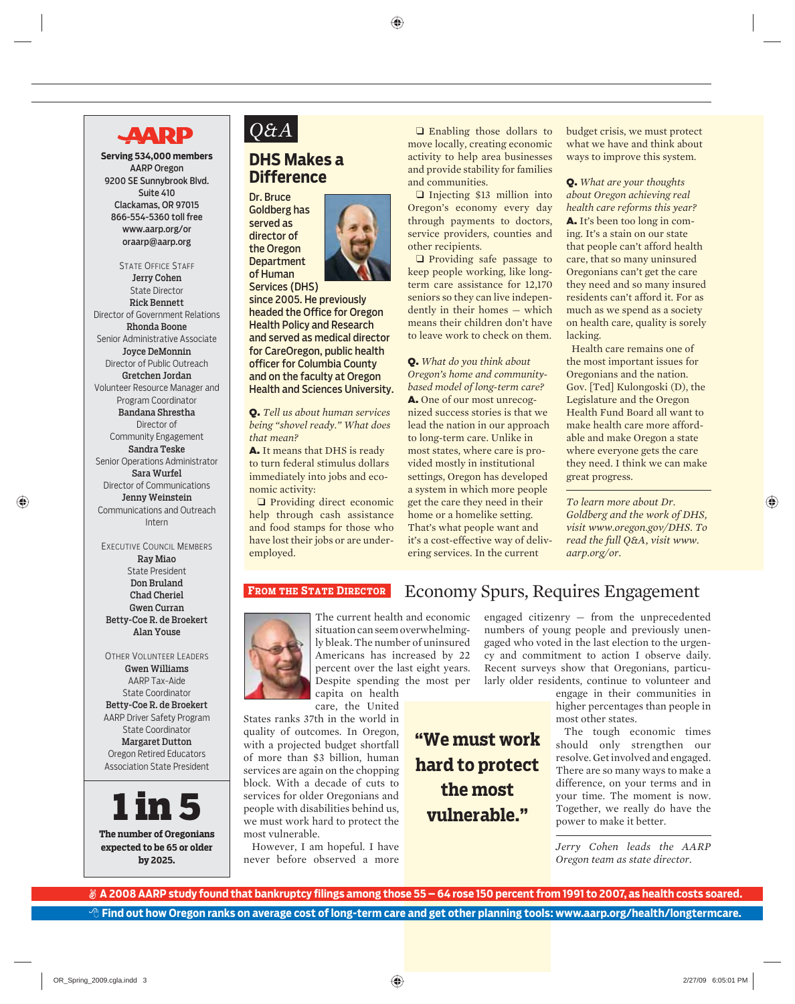## **AARP**

**Serving 534,000 members**  AARP Oregon 9200 SE Sunnybrook Blvd. Suite 410 Clackamas, OR 97015 866-554-5360 toll free www.aarp.org/or oraarp@aarp.org

STATE OFFICE STAFF Jerry Cohen State Director Rick Bennett Director of Government Relations Rhonda Boone Senior Administrative Associate Joyce DeMonnin Director of Public Outreach Gretchen Jordan Volunteer Resource Manager and Program Coordinator Bandana Shrestha Director of Community Engagement Sandra Teske Senior Operations Administrator Sara Wurfel Director of Communications Jenny Weinstein Communications and Outreach Intern

EXECUTIVE COUNCIL MEMBERS Ray Miao State President Don Bruland Chad Cheriel Gwen Curran Betty-Coe R. de Broekert Alan Youse

OTHER VOLUNTEER LEADERS Gwen Williams AARP Tax-Aide State Coordinator Betty-Coe R. de Broekert AARP Driver Safety Program State Coordinator Margaret Dutton Oregon Retired Educators Association State President



**The number of Oregonians expected to be 65 or older by 2025.**

## *Q&A*

### **DHS Makes a Difference**

Dr. Bruce Goldberg has served as director of the Oregon **Department** of Human



Services (DHS) since 2005. He previously headed the Office for Oregon Health Policy and Research and served as medical director for CareOregon, public health officer for Columbia County and on the faculty at Oregon Health and Sciences University.

Q. *Tell us about human services being "shovel ready." What does that mean?*

A. It means that DHS is ready to turn federal stimulus dollars immediately into jobs and economic activity:

❑ Providing direct economic help through cash assistance and food stamps for those who have lost their jobs or are underemployed.

❑ Enabling those dollars to move locally, creating economic activity to help area businesses and provide stability for families and communities.

❑ Injecting \$13 million into Oregon's economy every day through payments to doctors, service providers, counties and other recipients.

❑ Providing safe passage to keep people working, like longterm care assistance for 12,170 seniors so they can live independently in their homes — which means their children don't have to leave work to check on them.

Q. *What do you think about Oregon's home and communitybased model of long-term care?* A. One of our most unrecognized success stories is that we lead the nation in our approach to long-term care. Unlike in most states, where care is provided mostly in institutional settings, Oregon has developed a system in which more people get the care they need in their home or a homelike setting. That's what people want and it's a cost-effective way of delivering services. In the current

budget crisis, we must protect what we have and think about ways to improve this system.

Q. *What are your thoughts about Oregon achieving real health care reforms this year?* A. It's been too long in coming. It's a stain on our state that people can't afford health care, that so many uninsured Oregonians can't get the care they need and so many insured residents can't afford it. For as much as we spend as a society on health care, quality is sorely lacking.

Health care remains one of the most important issues for Oregonians and the nation. Gov. [Ted] Kulongoski (D), the Legislature and the Oregon Health Fund Board all want to make health care more affordable and make Oregon a state where everyone gets the care they need. I think we can make great progress.

*To learn more about Dr. Goldberg and the work of DHS, visit www.oregon.gov/DHS. To read the full Q&A, visit www. aarp.org/or.*

#### **FROM THE STATE DIRECTOR**



The current health and economic situation can seem overwhelmingly bleak. The number of uninsured Americans has increased by 22 percent over the last eight years. Despite spending the most per capita on health

care, the United

States ranks 37th in the world in quality of outcomes. In Oregon, with a projected budget shortfall of more than \$3 billion, human services are again on the chopping block. With a decade of cuts to services for older Oregonians and people with disabilities behind us, we must work hard to protect the most vulnerable.

However, I am hopeful. I have never before observed a more

**"We must work hard to protect the most vulnerable."**

engaged citizenry — from the unprecedented numbers of young people and previously unengaged who voted in the last election to the urgency and commitment to action I observe daily. Recent surveys show that Oregonians, particularly older residents, continue to volunteer and

Economy Spurs, Requires Engagement

engage in their communities in higher percentages than people in most other states.

The tough economic times should only strengthen our resolve. Get involved and engaged. There are so many ways to make a difference, on your terms and in your time. The moment is now. Together, we really do have the power to make it better.

*Jerry Cohen leads the AARP Oregon team as state director.*